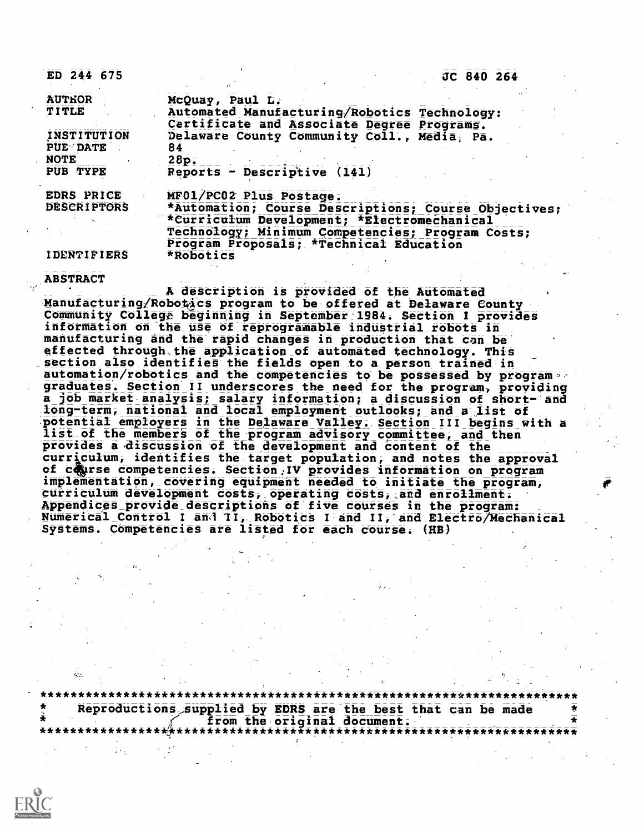ED 244 675 JC 840 264 AUTHOR MCQUAY, Paul L.<br>TITLE Automated Manuf Automated Manufacturing/Robotics Technology: Certificate and Associate Degree Programs. ,INSTITUTION Delaware County Community Coll., Media, Pa. PUE DATE<br>NOTE NOTE 28p. : . , PUB TYPE Reports - Descriptive (141) EDRS PRICE MF01/PC02 Plus Postage.<br>DESCRIPTORS \*Automation: Course Des \*Automation; Course Descriptions; Course Objectives; \*Curriculum Development; \*Electromechanical Technology; Minimum Competencies; Program Costs; Program Proposals; \*Technical Education

**IDENTIFIERS** 

ABSTRACT

A description is provided of the Automated Manufacturing/Robot4cs program to be offered at Delaware County Community College beginning in September 1984. Section I provides information on the use of reprogramable industrial robots in manufacturing and the rapid changes in production that can be effected through the application of automated technology. This section also identifies the fields open to a person trained in automation/robotics and the competencies to be possessed by program graduates. Section II underscores the need for the program, providing a job market analysis; salary information; a discussion of short- "and long-term, national and local employment outlooks; and a °list of potential employers in the Delaware Valley. Section III begins with a list of the members of the program advisory committee, and then provides a discussion of the development and content of the curriculum, identifies the target population, and notes the approval of course competencies. Section IV provides information on program implementation, covering equipment needed to initiate the program, curriculum development costs, operating costs, and enrollment. Appendices provide descriptions of five courses in the program: Numerical Control I any 71, Robotics I and II, and Electro/MechanicaI Systems. Competencies are listed for each course. (NB)

\*\*\*\*\*\*\*\*\*\*\*\*\*\*\*\*\*\*\*\*\*\*\*\*\*\*\*\*\*\*\*\*\*\*\* Reproductions,suppIied by EDRS are the best that can be made from the original document. \*\*\*\*\*\*\*\*\*\*\*\*\*\*\*\*\*/\*\*\*\*\*\*\*\*\*\*\*\*\*\*\*\*\*\*\*\*\*\*\*\*\*\*\*\*\*\*\*\*\*\*\*\*\*\*\*\*\*\*\*\*\*\*\*\*\*\*\*\*\*\*

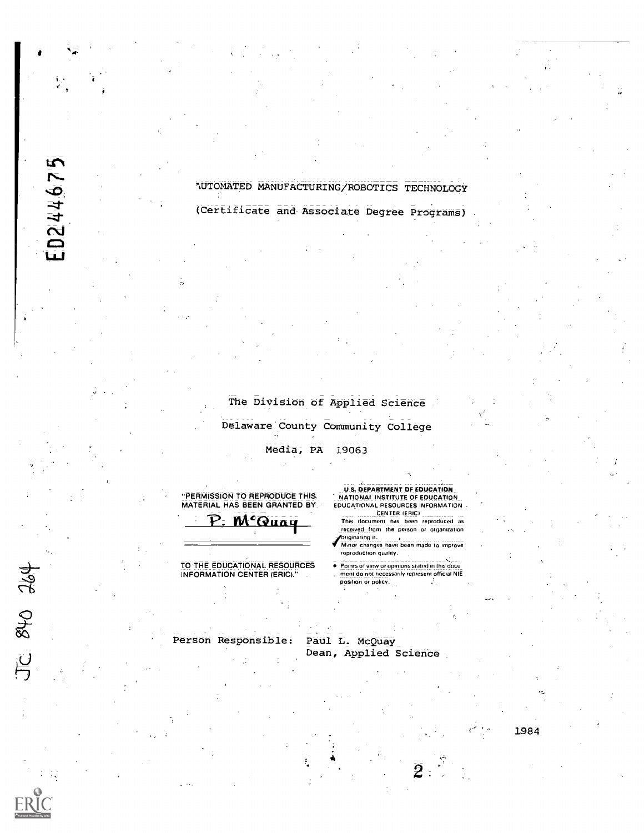# **NUTOMATED MANUFACTURING/ROBOTICS TECHNOLOGY**

(Certificate and-Associate Degree Programs)

# The Division of Applied Science

Delaware County Community College

Media, PA 19063

.

"PERMISSION TO REPRODUCE THIS MATERIAL HAS BEEN GRANTED BY.

P. McQuay

ED244675

240 264

 $\overline{\mathcal{G}}$ 

TO 'THE EDUCATIONAL RESOURCES INFORMATION CENTER (ERIC)."

U.S. DEPARTMENT OF EDUCATION **NATIONAI. INSTITUTE OF EDUCATION** EDUCATIONAL RESOURCES INFORMATION CENTER (ERIC)

- This document has been reproduced as received from the person or organization nginating it. M.ner changes have been made to improve
- reproduction quality.
- . Points of view or opinions stated in this docu ment do not necessarily represent official NIE position or policy. ÷.

1984

Person Responsible: Paul L. McQuay

Dean, Applied Science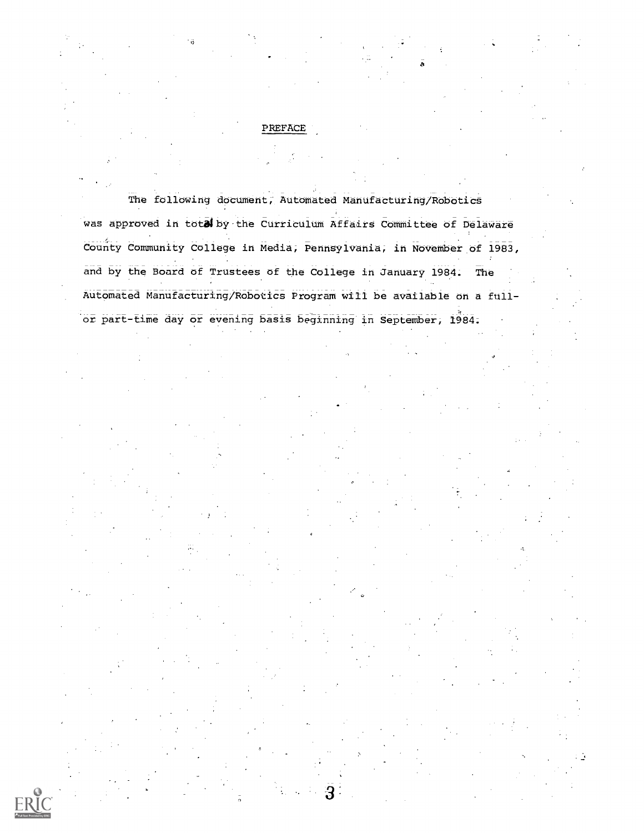PREFACE

The following document, Automated Manufacturing/Robotics was approved in total by the Curriculum Affairs Committee of Delaware County Community College in Media, Pennsylvania, in November of  $1983$ , and by the Board of Trustees of the College in January 1984. The Automated Manufacturing/Robotics Program will be available on a fullor part-time day or evening basis beginning in September; 1984.

З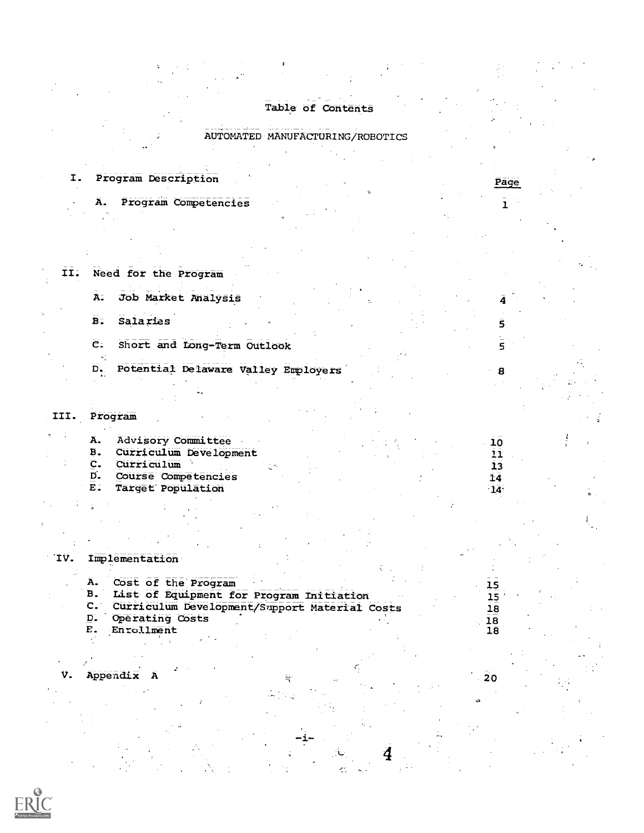# Table of Contents

Page

1

5

8

 $\frac{10}{11}$ 13 14  $14-$ 

 $\mathbf{5}$ 

#### AUTOMATED MANUFACTURING/ROBOTICS

- I. Program Description
	- Program Competencies
- II. Need for the Program
	- A. Job Market AnalySiS
	- $\overline{B}$ . Salaries
	- Short and Long-Term Outlook  $\overline{c}$ .
	- D. Potential Delaware Valley Employers

# III. Program

- A. Advisory Committee
- B. Curriculum Development
- C. Curriculum<br>D. Course Comp
- D. Course Competencies<br>E. Target Population
- Target' Population

# 'I V. Implementation

- 
- A. Cost of the Program<br>B. List of Equipment for Program Initiation 15
- B. List of Equipment for Program Initiation 15<br>C. Curriculum Development/Support Material Costs 18 C. Curriculum Development/Support Material Costs 18<br>D. Operating Costs 18
- 
- D. Operating Costs 18<br>E. Enrollment 18 Enrollment

**V.** Appendix  $\ddot{A}$  20

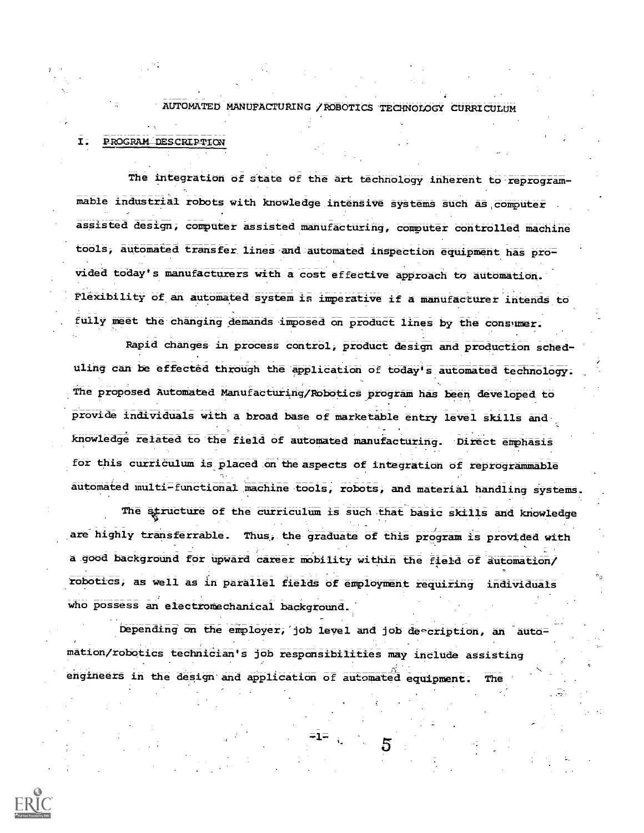# AUTOMATED MANUFACTURING /ROBOTICS'TECHNOLOGY CURRICULUM

#### I. PROGRAM DESCRIPTION

The integration of state of the art technology inherent to-reprogrammable industrial robots with knowledge intensive systems such as computer assisted design, computer assisted manufacturing, computer controlled machine tools, automated transfer lines and automated inspection equipment has provided today's manufacturers with a cost effective approach to automation. Flexibility of an automated system is imperative if a manufacturer intends to fully meet the changing demands imposed on product lines by the consumer.

Rapid changes in process control, product design and production scheduling can be effected through the application of today's automated technology. The proposed Automated Manufacturing/Robotics program has been developed to provide individuals with a broad base of marketable entry level Skills and knowledge related to the field of automated manufacturing. Direct emphasis for this curriculum is placed On the aspects of integration of reprogrammable Automated multi-functional machine tools, robots, and material handling systems.

The structure of the curriculum is such that basic skills and knowledge are highly transferrable. Thus, the graduate of this program is provided with a good background for upward career mobility within the field of automation/ robotics, as well as in parallel fields of employment requiring individuals who possess an electromechanical background.

Depending on the employer, job level and job decription, an automation/robotics technician's job responsibilities may include assisting engineers in the design and application of automated equipment.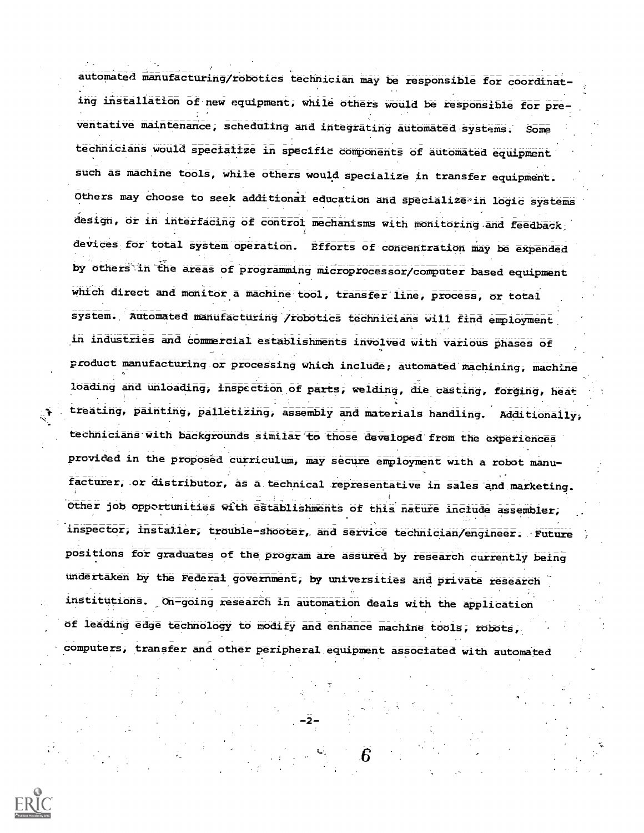automated manufacturing/robotics technician may be responsible for coordinating installation of new equipment, while others would be responsible for preventative maintenance, scheduling and integrating automated systems. Some technicians would specialize in specific components of automated equipment such as machine tools, while others would specialize in transfer equipment. Others may choose to seek additional education and specialize in logic systems design, or in interfacing of control mechanisms with monitoring.and feedback devices for total system operation. Efforts of concentration may be expended by others in the areas of programming microprocessor/computer based equipment which direct and monitor a machine tool, transfer line, process, or total system; Automated manufacturing /robotics technicians will find employment. in industries and commercial establishments involved with various phases of product manufacturing or processing which include; automated machining, machine loading and unloading, inspection of parts, welding, die casting, forging, heat treating, painting, palletizing, assembly and materials handling. Additionally; technicians. with backgrounds similar'to those developed'from the experiences provided in the proposed curriculum, may secure employment with a robot manufacturer, or distributor, as a technical representative in sales and marketing. Other job opportunities with establishments of this nature include assembler, inspector, installer, trouble- shooter,, and service technician/engineer. .Future positions for graduates of the program are assured by research currently being undertaken by the Federal government, by universities and private research institutions. On-going research in automation deals with the application of leading edge technology to modify and enhance machine tools, robots, computers, transfer and other peripheral equipment associated with automated

-2-

6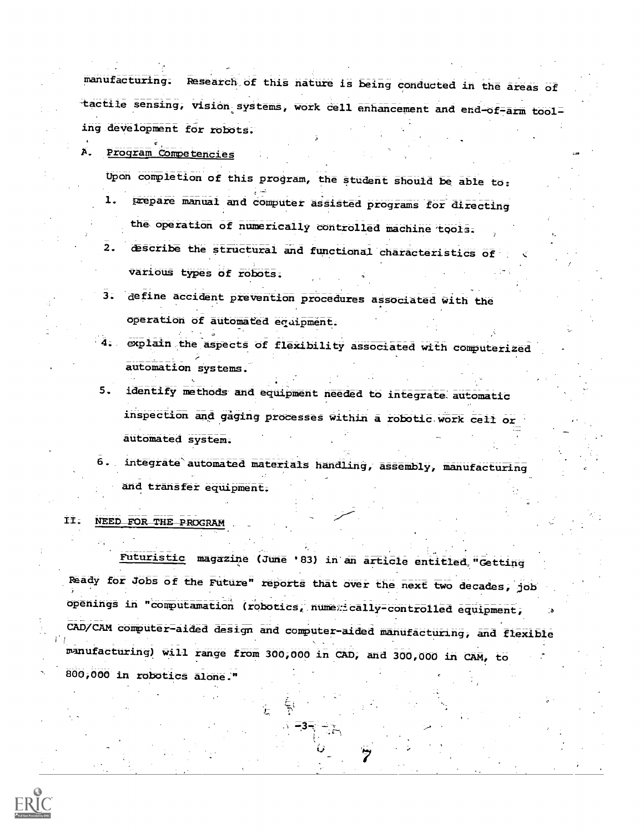manufacturing; Research of thiS nature is being conducted in the areas of tactile sensing, vision systems, work cell enhancement and end-of-arm tooling development for robots.

A. Program Competencies

Upon completion of this program, the student should be able to: 1. prepare manual and computer assisted programs for directing the operation of numerically controlled machine tools.

- 2. dedcribe the structural and functional characteristics of various types of robots.
- 3. define accident prevention procedures associated with the operation of automated equipment.
- explain the aspects of flekibility associated with computerized  $4.1$ automation systems.
- 5. identify methods and equipment needed to integrate. automatic inspection and gaging processes Within a robotic.work cell or automated system.

integrate automated materials handling, assembly, manufacturing and transfer equipment.

II. NEED FOR THE PROGRAM

Futuristic magazine (June '83) in an article entitled."Getting Ready for Jobs of the Future reports that over the next two decades, job openings in "computamation (robotics, numer: cally-controlled equipment, CAD/CAM computer-aided design and computer-aided manufacturing, and flexible manufacturing) will range from 300,000 in CAD, and 300,000 in CAM, to 800,000 in robotics alone."

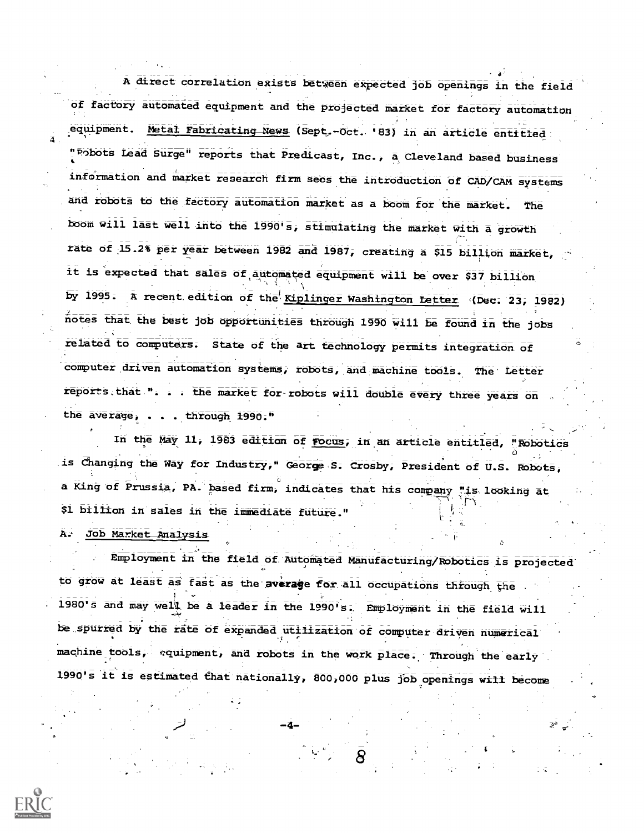4. A direct correlation exists between expected job openings in the field factory automated equipment and the projected market for factory automation equipment. Metal Fabricating News (Sept.-Oct. '83) in an article entitled "Pobots Lead Surge" reports that Predicast, Inc., a Cleveland based business information and market research firm sees the introduction of CAD/CAM systems and robots to the factory automation market as a boom for the market. The boom will last well into the 19901s, stimulating the market with a growth rate of 15.2% per year between 1982 and 1987, creating a \$15 billion market, it is expected that sales of,automated equipment will be over \$37 billion by 1995. A recent edition of the Kiplinger Washington Letter (Dec. 23, 1982) notes that the best job opportunities through 1990 will be found in the jobs related to computers. State of the art technology permits integration of computer driven automation systems, robots, and machine tools. The Letter reports that ". . the market for-robots will double every three years on the average, . . . through 1990."

In the May 11, 1983 edition of rocus, in an article entitled, "Robotics is Changing the Way for Industry," George S. Crosby, President of U.S. Robots, a King of Prussia, PA. based firm, indicates that his company "is looking at.  $\sum_{i=1}^n$ \$1 billion in sales in the immediate future."

A. Job Market\_Amalysis

Employment in the field of Automated Manufacturing/Robotics is projected to grow at least as fast as the average for all occupations through the 1980's and may well be A leader in the 1990's. Employment in the field will be spurred by the rate of expanded utilization of computer driven numerical machine tools, equipment, and robots in the work place. Through the early 1990's it is estimated that nationally, 800,000 plus job openings will become

-4-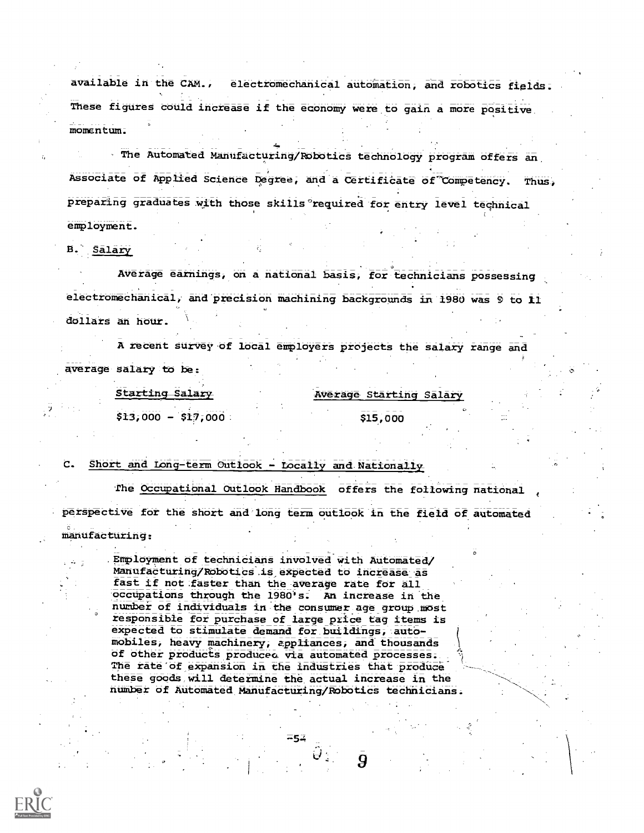available in the CAM., electromechanical automation, and robotics fields. These figures could increase if the economy were to gain a more positive, momentum;

The Automated Manufacturing/Robotics technology program offers an Associate of Applied Science Degree, and a Certificate of Competency. Thus, preparing graduates with those skills required for entry level technical employment.

B. Salary

Average earnings, on a national basis, for technicians possessing electromechanical, and precision machining backgrounds in 1980 was 9 to 11 dollars an hour.

A recent survey -of local employers projects the salary range and average salary to be:

| Starting Salary     |  | Average Starting Salary |  |
|---------------------|--|-------------------------|--|
| $$13,000 - $17,000$ |  |                         |  |
|                     |  | \$15,000                |  |

Short and Long-term Outlook - Locally and Nationally

The Occupational Outlook Handbook offers the following national perspective for the short and long term outlook in the field of automated manufacturing:

> Employment of technicians involved with Automated/ Manufacturing/Robotics is expected to increase as fast if not faster than the average rate for all occupations through the 1980's. An increase in the number of individuals in the consumer age group most responsible for purchase of large price tag items is expected to stimulate demand for buildings, automobiles, heavy machinery, appliances, and thousands of other products produced via automated processes. The rate of expansion in the industries that produce these goodS:will determine the actual increase in the number of Automated Manufacturing/Robotics technicians.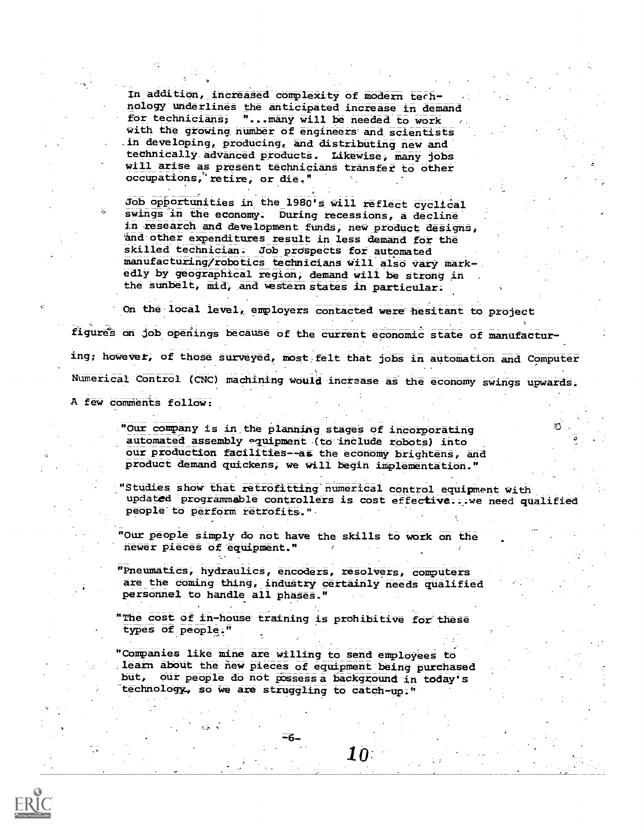In addition, increased complexity of modern technology underlines the anticipated increase in demand for technicians; "...many will be needed'to work with the growing, number of engineers and scientists in developing, producing, and distributing new and technically, advanced products. Likewise, many jobs, will arise as present technicians transfer to other occupations, retire, or die.'

Job opportunities in the 1980's will reflect cyclical swings in the economy. During recessions, a decline in research and development funds, new\_product designs, and other expenditures result in less demand for the skilled technician. Job prOspects for automated manufacturing/robotics technicians will also vary markedly by geographical region, demand will be strong in the sunbelt, mid, and western states in particular:

On the local level, employers contacted were hesitant to project figure's on job openings because of the current economic state of manufacturing; however, of those surveyed, most felt that jobs in automation and Computer Numerical Control (CNc) machining would increase as the economy swings upwards. A few comments follow:

> "Our company is in ,the planning stages of incorporating automated assembly equipment (to include robots) into our production facilities--as the economy brightens, and product demand quickens, we will begin implementation."

"Studies show that retrofitting numerical control equipment with updated programmable controllers is cost effective....we need qualified people to perform retrofits."

 ${\bf 10}^{\cdot}$ 

"Our people simply do not have the skills to work on the newer pieces of 'equipment."

"Pneumatics, hydraulics, encoders, resolvers, computers are the coming thing, industry certainly needs qualified personnel to handle all phases."

"The cost of in-house' training is prohibitive for these types of people."

"Companies like mine are willing to send employees to learn about the new pieces of equipment being purchased but, our people do not possess a background in today's technology, so we are struggling to catch-up."

-6-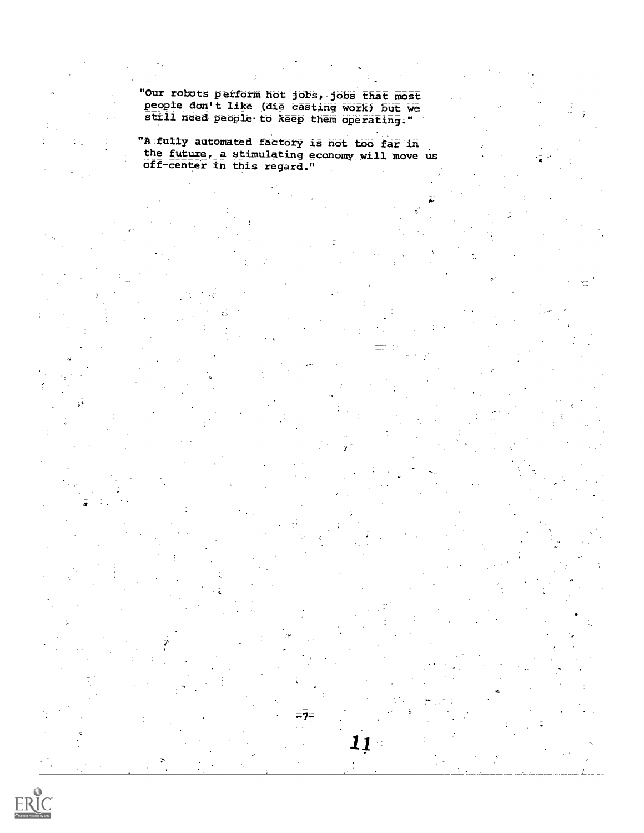"Our robots perform hot jobs, jobs that most people don't like (did casting work) but we still need people- to keep them operating."

"A .fully automated factory is not too far in the future, a stimulating economy will move us off-center in this regard."

-7-7=

 $\bar{\bf 11}$ 

T-

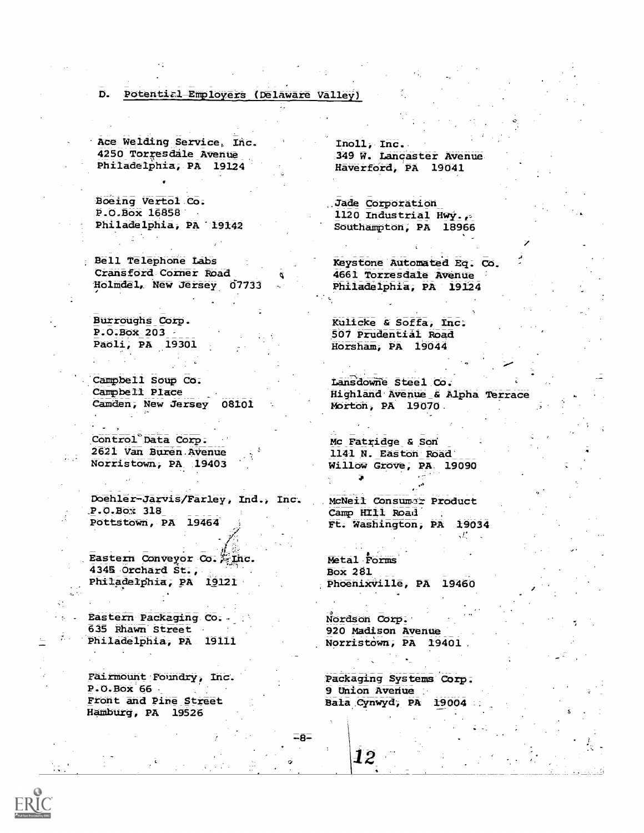#### D. Potential-Employers (Delaware Valley)

Ace Welding Service, Inc. 4250 Torresdale Avenue Philadelphia, PA 19124

Boeing Vertol Co. P.O.Box 16858 Philadelphia, PA '19142

Bell Telephone Labs Cransford Corner Road Bolmdel,. New Jersey d7733

Burroughs Corp. P.O.Box 203 - Paoli, PA 19301

..Campbell Soup Co; Campbell Place Camden, New Jersey 08101

Control Data Corp. 2621 Van Buren.AVenue Norristown, PA\_ :19403

Doehler-Jarvis/Farley, Ind., Inc. \_P.O.BON 318 Pottstown, PA 19464

Eastern Conveyor Co. Sinc. 4345 Orchard St:; . Philadelphia, PA 19121

Eastern Packaging. Co.- 635 Rhawn Street Philadelphia, PA 19111

-11

Fairmount Foundry, Inc. P.O.Box 66 Front and Pine Street Hamburg, PA 19526

Inoll, Inc. 349 W. Lancaster Avenue Haverford; PA 19041

\_Jade Corporation 1120 Industrial Hwy. $e^*$ Southampton, PA 18966

Keystone Automated Eq. Co. 4661 Torresdale Avenue Philadelphia, PA 19124

Kulicke & Soffa, Inc 507 Prudential Road Horsham, PA 19044

LansdoWfie Steel.Co: Highland.Avenue & Alpha Terrace Morton, PA 19070.

MC Fatridge & Son 1141 N. Easton ROad' Willow Grove, PA. 19090

 $\mathcal{F}$ 

McNeil Consumer Product Camp Hilt Road Ft. Washington, PA 19034

Metal Forms Box 281 Phoenixville, PA 19460

Nordson Corp.. 920 Madison Avenue Norristown, PA 19401.

Packaging Systems Corp: 9 Union Avenue Bala Cynwyd, PA 19004

\12.

-8-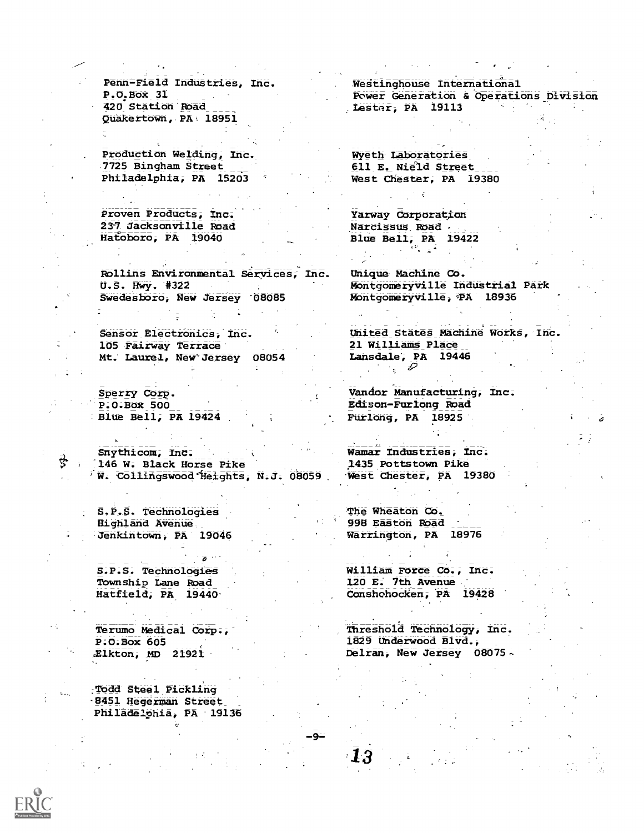Penn-Field Industries, Inc. P.O:Box 31 420 Station Road Quakertown, PA: 18951

Production Welding, Inc. 1725 Bingham Street Philadelphia, PA 15203

Proven Products, Inc. 231 Jacksonville Road Hatoboro, PA 19040

Rollins Environmental Seryices; U.S. Hwy. #322 Swedesboro, New Jersey 08085

Sensor\_Electronics, Inc. 105 Fairway Terrace Mt. Laurel, New Jersey 08054

Sperry Corp. P.O.Box 500 Blue Bell, PA 19424

'n

Snythicom, Inc. Namar Industries, Inc.<br>146 W. Black Horse Pike 1435 Pottstown Pike 146 W. Black Horse Pike 1435 Pottstown Pike<br>W. Collingswood Heights, N.J. 08059 West Chester, PA 19380 W. Collingswood Heights, N.J. 08059.

S.F.S. Technologies Highland Avenue\_ Jenkintown, PA 19046

S.P.S. Technologies Township Lane Road Hatfield, PA 19440

Terumo Medical Corp., P.O.Box 605 Elkton, ND 21921

Todd Steel Pickling -8451 Hegernan Street Philadelphia, PA 19136

Westinghouse International Power Generation & Operations Division<br>Tester: PA 19113 Iestar, PA 19113

Wyeth Laboratories 611 E. Wield Street West Chester, PA 19380

Yarway Corporation .Narcissus. Road Blue Bell, PA 19422  $\mathcal{A}^{\text{max}}$ **Service** State

Unique Machine Co. Montgomeryville Industrial Park Montgomeryville, PA 18936

United States Machine Works, Inc. 21 Williams Place Lansdale, PA 19446

Vandor Manufacturing, Inc. Edison-Furlong Road Furlong, PA 18925

The Wheaton Co. 998 Easton Road Warrington, PA 18976

William Force CO., Inc. 120 E. 7th Avenue Conshohocken, PA 19428

Threshold Technology, Inc. 1829 Underwood Blvd., Delran, New Jersey 08075-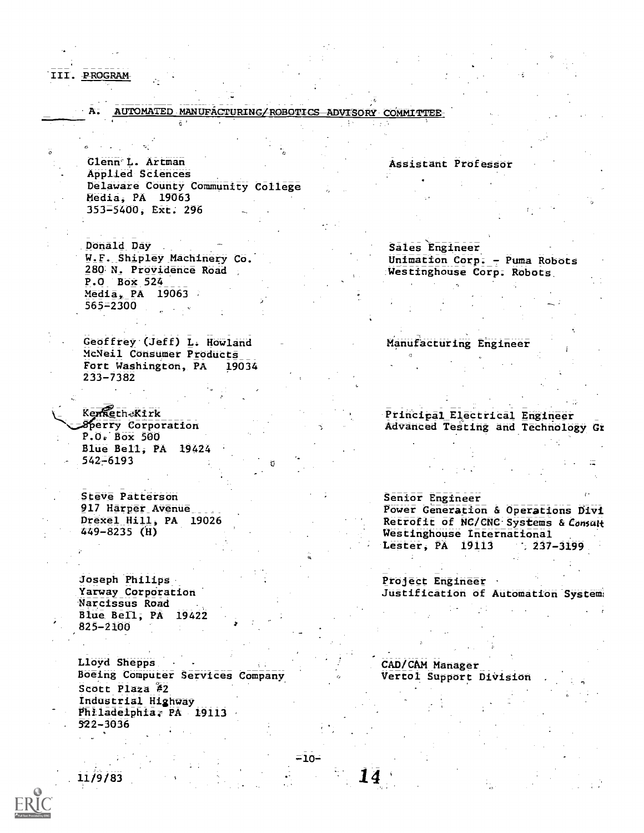| A. AUTOMATED MANUFACTURING/ROBOTICS ADVISORY COMMITTEE |                                                |
|--------------------------------------------------------|------------------------------------------------|
|                                                        |                                                |
|                                                        |                                                |
|                                                        |                                                |
| Glenn L. Artman<br><b>Applied Sciences</b>             | Assistant Professor                            |
| Delaware County Community College                      |                                                |
| Media, PA 19063                                        |                                                |
| 353-5400, Ext. 296                                     |                                                |
|                                                        |                                                |
| Donald Day                                             |                                                |
| W.F. Shipley Machinery Co.                             | Sales Engineer<br>Unimation Corp. - Puma Robot |
| 280 N. Providence Road                                 | Westinghouse Corp. Robots                      |
| P.O Box 524                                            |                                                |
| $Media_x$ PA 19063                                     |                                                |
| 565-2300                                               |                                                |
|                                                        |                                                |
| Geoffrey (Jeff) L. Howland                             | Manufacturing Engineer                         |
| McNeil Consumer Products                               |                                                |
| Fort Washington, PA<br>19034                           |                                                |
| $233 - 7382$                                           |                                                |
|                                                        |                                                |
| KennetheKirk                                           | Principal Electrical Engineer                  |
| Sperry Corporation                                     | Advanced Testing and Technolo                  |
| $P.0.$ Box 500                                         |                                                |
| Blue Bell, PA 19424                                    |                                                |
| 542–6193                                               |                                                |
|                                                        |                                                |
| Steve Patterson                                        | Senior Engineer                                |
| 917 Harper Avenue                                      | Power Generation & Operations                  |
| Drexel Hill, PA 19026                                  | Retrofit of NC/CNC Systems &                   |
| 449-8235 (H)                                           | Westinghouse International                     |
|                                                        | Lester, PA 19113<br>$-237-31$                  |
|                                                        |                                                |
| Joseph Philips                                         | Project Engineer                               |
| Yarway Corporation                                     | Justification of Automation S                  |
| Narcissus Road                                         |                                                |
| Blue Bell, PA 19422<br>825-2100                        |                                                |
|                                                        |                                                |
|                                                        |                                                |
| Lloyd Shepps                                           | CAD/CAM Manager                                |
| Boeing Computer Services Company                       | Vertol Support Division                        |
| Scott Plaza #2                                         |                                                |
| Industrial Highway<br>Philadeiphia, PA 19113           |                                                |
|                                                        |                                                |

 $=10-$ 

J. Ŵ 14

 $+$  17

 $\mathbb{R}^n$ 

 $\overline{\mathbb{Q}}$ 

 $\lambda$ 

 $\sim$   $^{-1}$ 

cal Engineer and Technology Gr  $\frac{1}{2} \frac{1}{2} \frac{d^2}{d^2}$  $\overline{a}$ 

 $\bar{t}$  : Senior Engineer & Operations Divi C Systems & Consult rnational  $\frac{1}{2}$  237-3199

 $\ddot{\phantom{a}}$ Project Engineer Automation System<br>Automation

ί.

522-3036

III. PROGRAM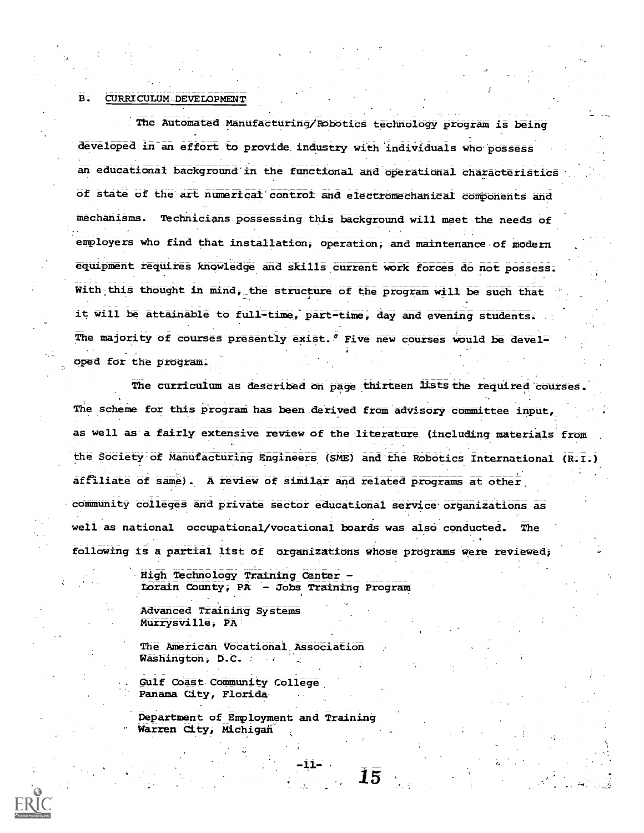#### $\overline{\mathbf{B}}$ . CURRICULUM DEVELOPMENT

The Automated Manufacturing/Robotics technology program is being developed in an effort to provide industry with individuals who possess an educational background in the functional and operational characteristics state of the art numerical control and electromechanical components and mechanisms. Technicians possessing this background will meet the needs of employers who find that installation, operation, and maintenance of modern equipment requires knowledge and skills current work forces do not possess; With this thought in mind, the structure of the program will be such that it will be attainable to full-time, part-time, day and evening students. The majority of courses presently exist. ' Five new courses would be developed for the program.

The curriculum as described on page thirteen lists the required courses. The scheme for this program has been derived from advisory committee input, as well as a fairly extensive review of the literature. (including materials from the Society-of Manufacturing Engineers (SME) and the Robotics International (R.I.) affiliate of same). A review of similar and related programs at other, community colleges and private sector educational service organizations as well as national occupational/vocational boards was also conducted. The following is a partial list of organizations whose programs were reviewed;

15

High Technology Training Center - Lorain County, PA - Jobs Training Program

Advanced Training Systems Murrysville, PA

The American Vocational Association Washington, D.C.  $\leq$ 

. Gulf Coast Community College Panama city, Florida

Department of Employment and Training Warren City, Michigan'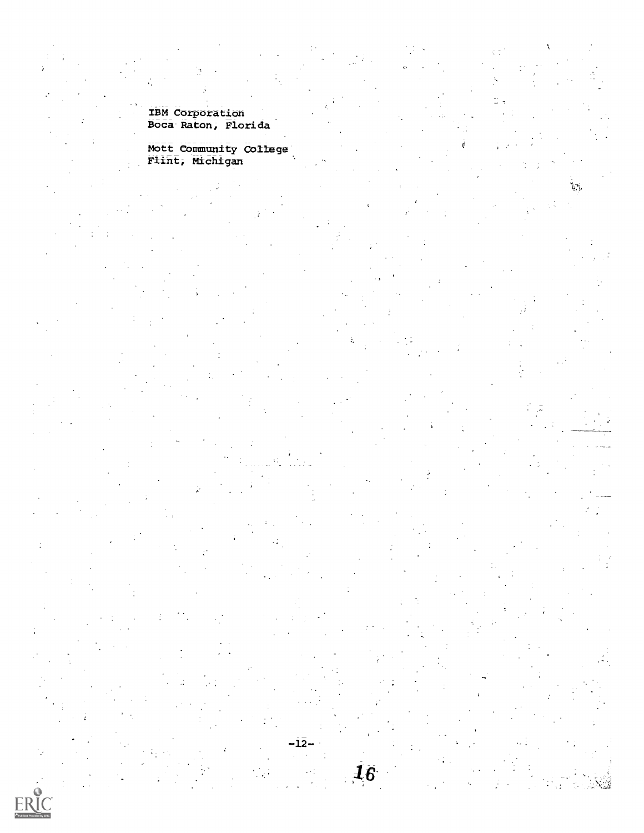### IBM Corporation Boca Raton, Florida

Mott Community College Flint, Michigan

 $\mathbb{R}^2$ 

-12-

ERIC

 ${\bf 16}$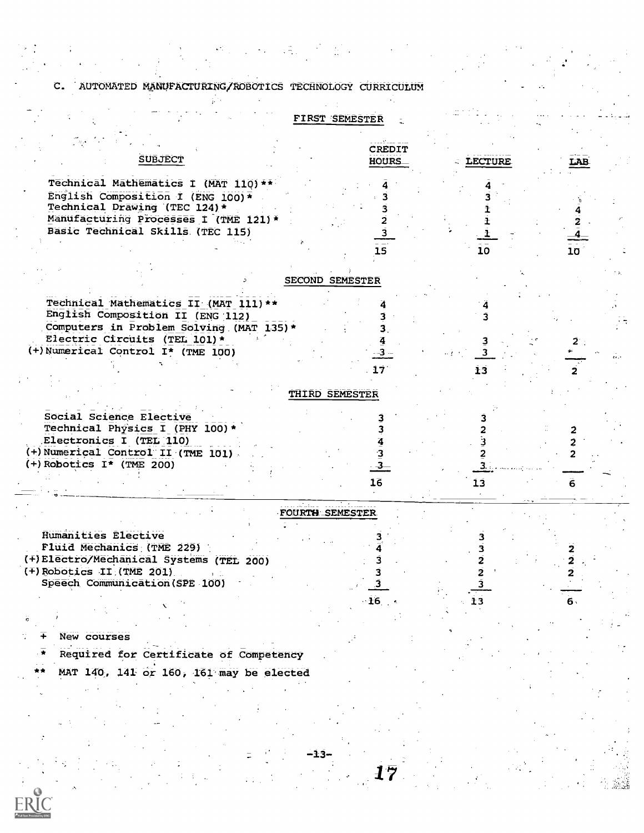C. AUTOMATED MANUFACTURING/ROBOTICS TECHNOLOGY CURRICULUM

 $\frac{1}{2}$  .

|                                                                    | <b>FIRST SEMESTER</b> |                |     |  |
|--------------------------------------------------------------------|-----------------------|----------------|-----|--|
|                                                                    | CREDIT                |                |     |  |
| <b>SUBJECT</b>                                                     | <b>HOURS</b>          | <b>LECTURE</b> | AЕ  |  |
| Technical Mathematics I (MAT 110) **                               |                       |                |     |  |
| English Composition I (ENG 100)*<br>Technical Drawing (TEC 124) *  |                       |                |     |  |
| Manufacturing Processes I (TME 121)*                               |                       |                |     |  |
| Basic Technical Skills (TEC 115)                                   |                       |                |     |  |
|                                                                    | 15                    | 10             | 10. |  |
|                                                                    |                       |                |     |  |
|                                                                    | SECOND SEMESTER       |                |     |  |
| Technical Mathematics II (MAT 111) **                              |                       |                |     |  |
| English Composition II (ENG 112)                                   |                       |                |     |  |
| Computers in Problem Solving (MAT 135)*                            |                       |                |     |  |
| Electric Circuits (TEL 101)*<br>(+) Numerical Control I* (TME 100) |                       |                |     |  |
|                                                                    |                       |                |     |  |
|                                                                    | 17 <sup>°</sup>       | 13             |     |  |
|                                                                    | <b>THIRD SEMESTER</b> |                |     |  |
| Social Science Elective                                            |                       |                |     |  |
| Technical Physics I (PHY 100)*                                     |                       |                |     |  |
| Electronics I (TEL 110)                                            |                       |                |     |  |
| (+) Numerical Control II (TME 101)                                 |                       |                |     |  |
| (+) Robotics I* (TME 200)                                          |                       |                |     |  |
|                                                                    | $1\overline{6}$       |                |     |  |

-13-

 $17$  and  $17$ 

6

|                                         |  | FOURTH SEMESTER |  |  |
|-----------------------------------------|--|-----------------|--|--|
|                                         |  |                 |  |  |
| <b>Humanities Elective</b>              |  |                 |  |  |
| Fluid Mechanics (TME 229)               |  |                 |  |  |
| (+)Electro/Mechanical Systems (TEL 200) |  |                 |  |  |
| (+)Robotics II (TME 201)                |  |                 |  |  |
| Speech Communication (SPE 100)          |  |                 |  |  |
|                                         |  |                 |  |  |
|                                         |  |                 |  |  |

New courses

Required for Certificate of Competency

 $\texttt{MAT } 140, 141$  or  $160, 161$  may be elected

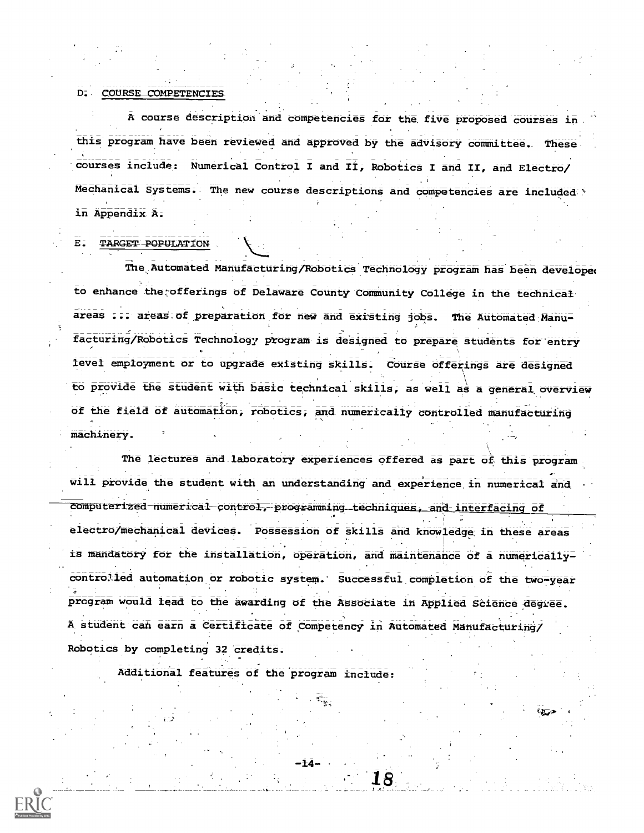#### D. COURSE COMPETENCIES

A course description and competencies for the, five proposed courses in this program have been reviewed and approved by the advisory committee.. These courses include: Numerical Control I and II, Robotics I and II, and Electro/ Mechanical Systems. The new course descriptions and competencies are included in Appendix. A.

# TARGET POPULATION

The Automated Manufacturing/Robotics Technology program has been developer to enhance the:offerings of Delaware County Community College in the technical areas ... areas. of preparation for new and existing jobs. The Automated Manufacturing/Robotics Technology program is designed to prepare students for entry level employment or to upgrade existing skills. Course offerings are designed to provide the student with basic technical skills, as well as a general overview f the field of automation, robotics, and numerically controlled manufacturing machinery.

The lectures and.laboratory experiences offered as part of this program will provide the student with an understanding and experience in numerical and computerized-numerical control, programming techniques, and interfacing of electro/mechanical devices. Possession of skills and knowledge in these areas is mandatory for the installation, operation, and maintenance of a numericallycontrolled automation or robotic system. Successful completion of the two-year program would lead to the awarding of the Associate in Applied Science degree. . A\_ student.cah earn a Certificate of Competency in Automated Manufacturing/ Robotics by completing 32 credits.

Additional features of the program include: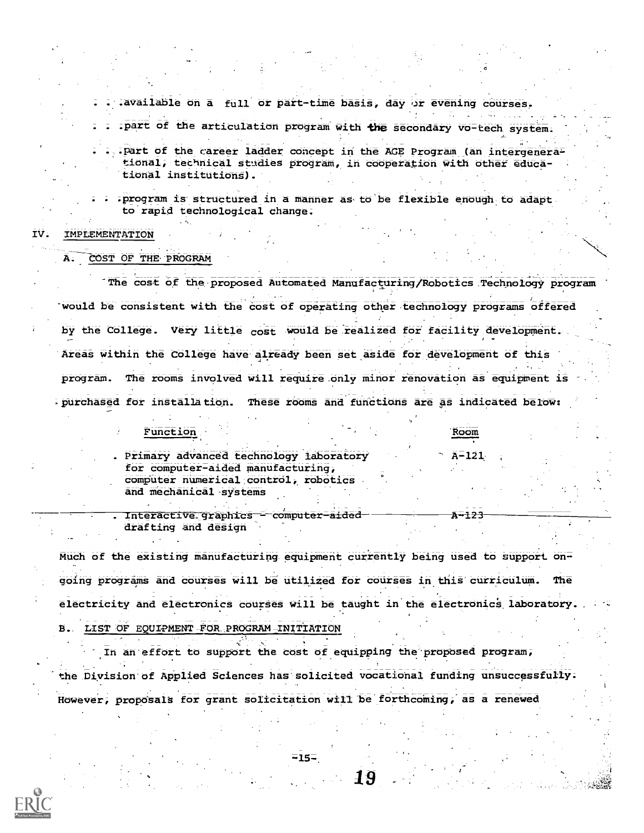. .available on a full or part-time basis, day or evening courses. :part of the articulation program with the secondary vo-tech system. .part of the career ladder concept in the AGE Program (an intergenerational, technical studies program, in cooperation with other educational institutions).

program is structured in a manner as to be flexible enough to adapt. to'rapid technological change.

#### IV. IMPLEMENTATION

#### COST OF THE. PROGRAM

The cost of the. proposed Automated Manufacturing/Robotics Technology program 'would be consistent with the Cost of operating other technology programs offered by the College. Very little cost would be realized for facility development. Areas within the College have already been set aside for development of this program. The rooms involved will require only minor renovation as equipment is .purchased for installation. These rooms and functions are as indicated below:

| Function                                                                  |  | Room            |  |
|---------------------------------------------------------------------------|--|-----------------|--|
| . Primary advanced technology laboratory                                  |  | $^{\sim}$ A-121 |  |
| for computer-aided manufacturing,<br>computer numerical control, robotics |  |                 |  |
| and mechanical systems                                                    |  |                 |  |

Interactive.graphics--computer-aided drafting and design

Much of the existing manufacturing equipment currently being used to support ongoing programs and courses will be utilized for courses in this' curriculum. The electricity and electronics courses will be taught in the electronics. laboratory..

<del>A-12</del>3

B. LIST OF EQUIPMENT FOR PROGRAM-INITIATION

-

In an effort to support the cost of equipping the proposed program, the Division of Applied Sciences has solicited vocational funding unsuccessfully. However, proposals for grant solicitation will be forthcoming, as a renewed

 $-15-$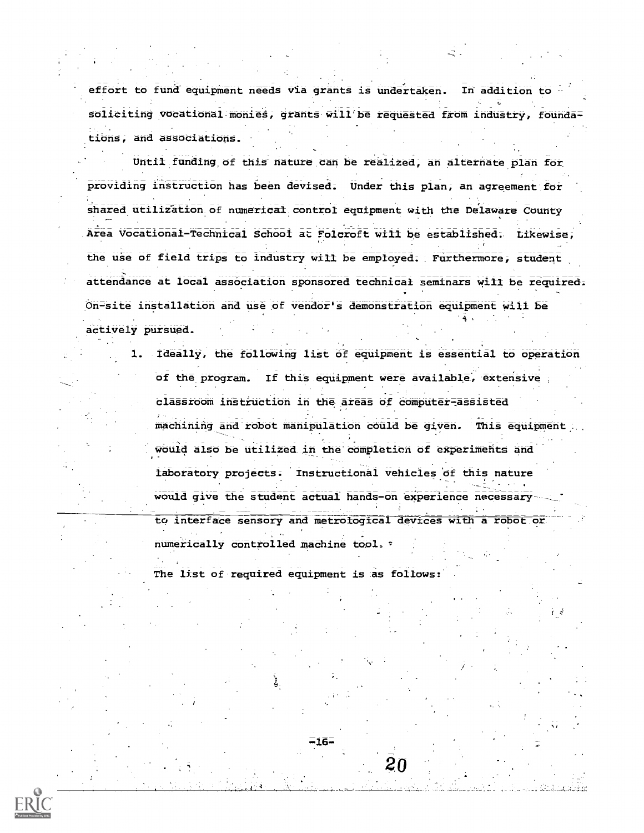effort to fund equipment needs via grants is undertaken. In addition to soliciting vocational-monies, grants will be requested from industry, foundations, and associations.

Until funding of this nature can be realized, an alternate plan for providing instruction has been devised; Under this plan, an agreement for shared utilization of numerical control equipment with the Delaware County Area Vocational-Technical School at Folcroft will be established. Likewise, the use of field trips to industry will be employed; Furthermore; student attendance at local association sponsored technical seminars will be required; On -site installation and use of vendor's demonstration equipment will be actively pursued.

1. Ideally, the following list of equipment is essential to operation of the program. If this equipment were available, extensive classroom instruction in the areas of computer-assisted machining and robot manipulation could be given. This equipment would also be utilized in the completion of experiments and laboratory projects. Instructional vehicles of this nature . would give the student actual hands-on experience necessary to interface sensory and metrological devices with a robot or. numerically controlled machine tool.

The list of required equipment is as follows:

-16-

20

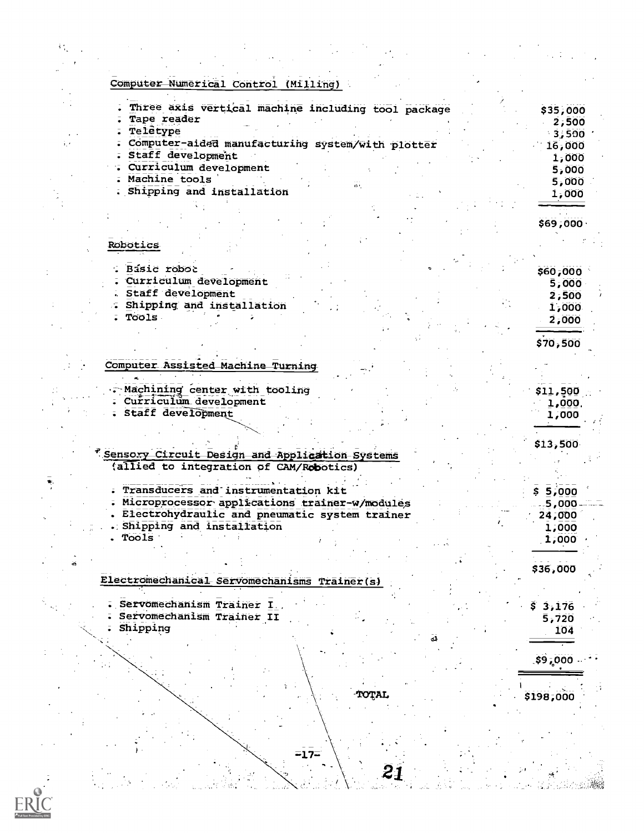# Computer-Numerical Control (Milling)

| Three axis vertical machine including tool package<br>Tape reader |  | \$35,000<br>2:500 |
|-------------------------------------------------------------------|--|-------------------|
| Teletype                                                          |  | 3,500             |
| Computer-aided manufacturing system/with plotter                  |  | 16,000            |
| Staff development                                                 |  | 1,000             |
| : Curriculum development                                          |  | 5,000             |
| Machine tools                                                     |  | 5,000             |
| . Shipping and installation                                       |  | 1,000             |
|                                                                   |  |                   |
|                                                                   |  | \$69,000          |

 $\hat{\psi}$  :

 $\mathcal{X}^{\mathcal{A}}$ 

 $\frac{1}{2}$ 

# Robotics

 $\ddot{\phantom{a}}$ 

 $\Omega_{\rm{max}}$ 

 $\sim$   $\frac{1}{2}$ 

 $\frac{1}{4\sqrt{2}}$ 

| Básic robot                                                 |              | \$60,000  |
|-------------------------------------------------------------|--------------|-----------|
| Curriculum development                                      |              | 5,000     |
| Staff development                                           |              | 2,500     |
| Shipping and installation                                   |              | 1,000     |
| Tools                                                       |              | 2,000     |
|                                                             |              |           |
|                                                             |              | \$70,500  |
|                                                             |              |           |
| Computer Assisted Machine Turning                           |              |           |
|                                                             |              |           |
| Machining center with tooling                               |              | \$11,500  |
| Curriculum development                                      |              | 1,000.    |
| <b>Staff development</b>                                    |              | 1,000     |
|                                                             |              |           |
|                                                             |              | \$13,500  |
| <sup>2</sup> Sensory Circuit Design and Application Systems |              |           |
| (allied to integration of CAM/Robotics)                     |              |           |
|                                                             |              |           |
| Transducers and instrumentation kit                         |              | \$5,000   |
| Microprocessor applications trainer-w/modules               |              | 5,000     |
| Electrohydraulic and pneumatic system trainer               |              | 24,000    |
| Shipping and installation                                   |              | 1,000     |
| Tools                                                       |              | 1,000     |
|                                                             |              |           |
|                                                             |              |           |
|                                                             |              | \$36,000  |
| Electromechanical Servomechanisms Trainer(s)                |              |           |
|                                                             |              |           |
| Servomechanism Trainer I<br>Servomechanism Trainer II       |              | 53,176    |
|                                                             |              | 5,720     |
| Shipping                                                    |              | 104       |
|                                                             |              |           |
|                                                             |              | \$9,000   |
|                                                             |              |           |
|                                                             |              |           |
|                                                             | <b>TOTAL</b> | \$198,000 |
|                                                             |              |           |
|                                                             |              |           |

 $=17-$ 

a.

in 2

Ų.

21

 $\mathcal{N}$ 

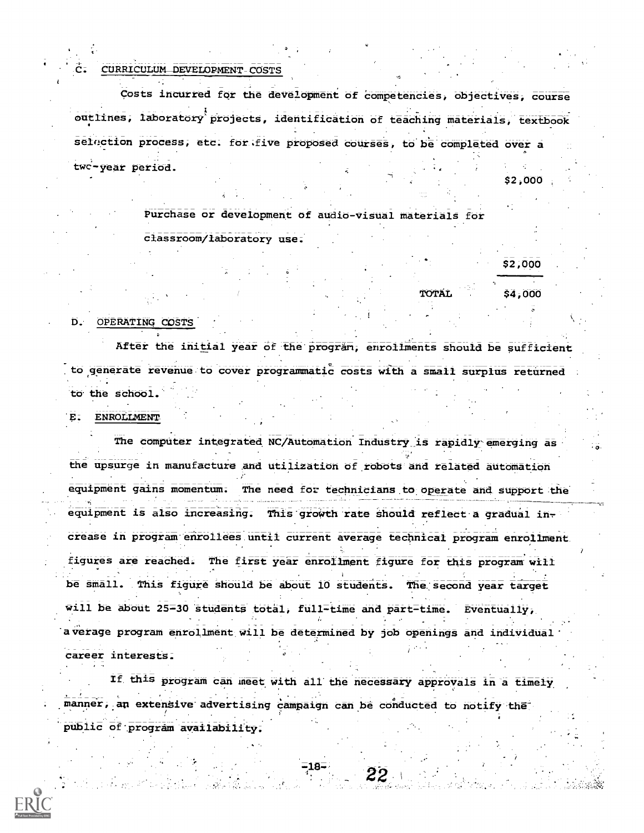# CURRICULUM\_DEVELOPMENT-COSTS

Costs incurred for the development of competencies, objectives, course outlines, laboratory projects, identification of teaching materials, textbook selection process, etc. for five proposed courses, to be completed over a twc -year period.

\$2,000

Purchase or development of audio-visual materials for classroom/laboratory use;

\$2,000

TOTAL \$4,000

#### D. OPERATING COSTS

After the initial year of the program, enrollments should be sufficient to generate revenue to cover programmatic costs with a small surplus returned to the school.

#### E. ENROLIMENT

The computer integrated NC/Automation Industry is rapidly emerging as the upsurge in manufacture and utilization of robots and related automation equipment gains momentum; The need for technicians to operate and support: the equipment is also increasing. This growth rate should reflect a gradual increase in program.enrollees until current average technical program enrollment. figures are reached. The first year enrollment figure for this program will be small. This figure should be about 10 students. The second year target will be about 25-30 students total, full-time and part-time. Eventually, average program enrollment will be determined by job openings and individual' career interests.

If this program can meet with all the necessary approvals in 'a timely manner, an extensive advertising campaign can be conducted to notify the public of'program availability.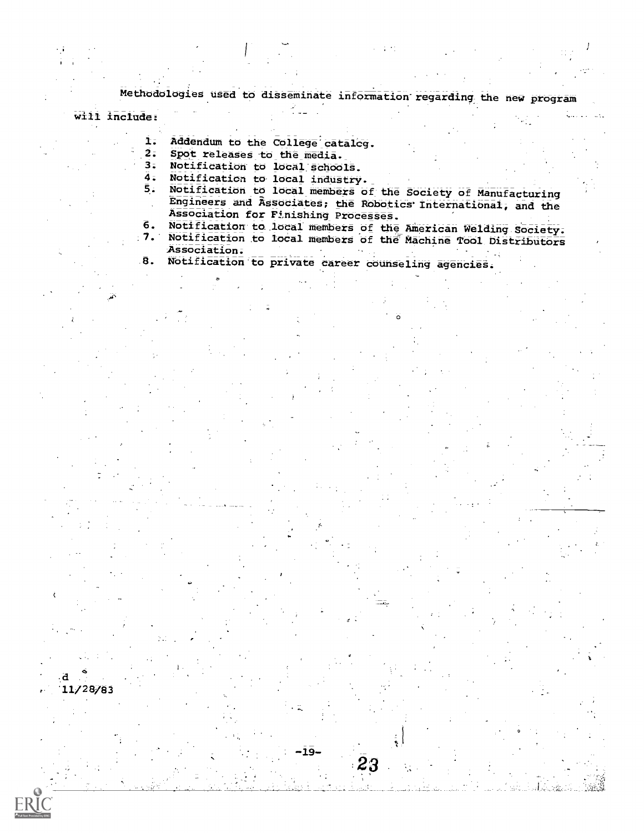Methodologies used to disseminate information-regarding the new program

# will include:

 $\mathbf d$  . The set of  $\mathbf d$ '11/2S/83

- 1. Addendum to the College catalog.<br>2. Spot releases to the media
- 2. Spot releases to the media.<br>3. Notification to local school
- 3. Notification to local schools.<br>4. Notification to local industry
- 4: Notification to local industry.<br>5. Notification to local members of
	- Notification to local members of the Society of Manufacturing Engineers and Associates; the Robotics International, and the Association for Finishing ProcesseS.
- 6. Notification to local members of the American Welding Society;
- $7.$  Notification to local members of the Machine Tool Distributors Association,

23

.8. Notification'to private career counseling agencies: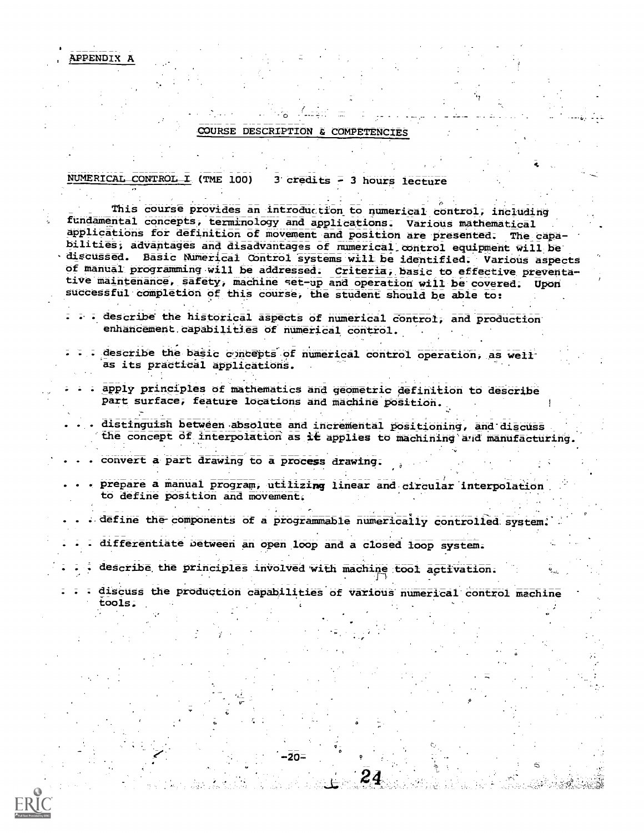# APPENDIX A

# COURSE DESCRIPTION & COMPETENCIES

# NUMERICAL CONTROL I (TME 100)  $3$  credits - 3 hours lecture

| This course provides an introduction to numerical control, including            |  |
|---------------------------------------------------------------------------------|--|
| fundamental concepts, terminology and applications. Various mathematical        |  |
| applications for definition of movement and position are presented. The capa-   |  |
| bilities; advantages and disadvantages of numerical control equipment will be   |  |
| discussed. Basic Numerical Control systems will be identified. Various aspects  |  |
| of manual programming will be addressed. Criteria, basic to effective preventa- |  |
| tive maintenance, safety, machine set-up and operation will be covered. Upon    |  |
| successful completion of this course, the student should be able to:            |  |
|                                                                                 |  |
| . . describe the historical aspects of numerical control, and production        |  |
| enhancement capabilities of numerical control.                                  |  |
|                                                                                 |  |
| describe the basic concepts of numerical control operation, as well             |  |
| as its practical applications.                                                  |  |
|                                                                                 |  |
| apply principles of mathematics and geometric definition to describe            |  |
| part surface, feature locations and machine position.                           |  |
|                                                                                 |  |
|                                                                                 |  |
| distinguish between absolute and incremental positioning, and discuss           |  |
| the concept of interpolation as it applies to machining and manufacturing.      |  |
|                                                                                 |  |
| convert a part drawing to a process drawing;                                    |  |
|                                                                                 |  |
| prepare a manual program, utilizing linear and circular interpolation           |  |
| to define position and movement.                                                |  |
|                                                                                 |  |
| define the components of a programmable numerically controlled system.          |  |
|                                                                                 |  |
| differentiate between an open loop and a closed toop system.                    |  |
|                                                                                 |  |
|                                                                                 |  |
| describe the principles involved with machine tool activation.                  |  |
|                                                                                 |  |
| discuss the production capabilities of various numerical control machine        |  |
| tools.                                                                          |  |
|                                                                                 |  |
|                                                                                 |  |
|                                                                                 |  |
|                                                                                 |  |

 $20 -$ 

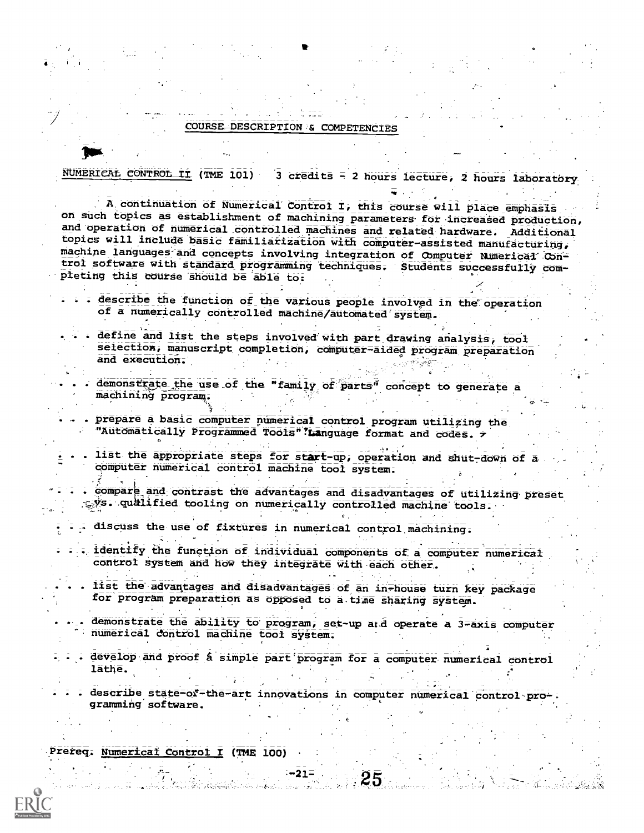NUMERICAL CONTROL II (TME 101) 3 credits = 2 hours lecture, 2 hours laboratory

A continuation of Numerical Control 1, this course will place emphasis on such topics as establishment of machining parameters for increased production, and operation of numerical controlled machines and related hardware. Additional topics will include basic familiarization with computer-assisted manufacturing, machine languages and concepts involving integration of Computer Numerical Control software with standard programming techniques; Students successfully completing this course should be able to:

describe the function of the various people involved in the operation of a numerically controlled machine/automated'system.

define and list the steps involved'with part drawing analysis, tool selection, manuscript completion, computer-aided program preparation and execution;

demonstrate the use of the "family of parts" concept to generate a machining program.

prepare a basic computer numerical control program utilizing the "Automatically Programmed Tools" and Codes. \*

list the appropriate steps for start-up, operation and shut-down of a. computer numerical control machine tool system.

compare and contrast the advantages and disadvantages of utilizing preset  $\sim$  . qualified tooling on numerically controlled machine tools.

 $^{\circ}$ .  $^{\circ}$ 

. discuss the use of fixtures in numerical control. machining:

; identify the function of individual components of a computer numerical control system and how they integrate with each other.

list the advantages and disadvantaged of an in=house turn key package for program preparation as opposed to a.tixe Sharing system.

demonstrate the ability to program, set-up and operate a 3-axis computer numerical control machine tool system.

. develop and proof a simple part program for a computer numerical control lathe.

describe state-of-the-art innovations in computer numerical control-programming software.

25

:⊷21≡

Prereq. Numerical Control I (TME 100)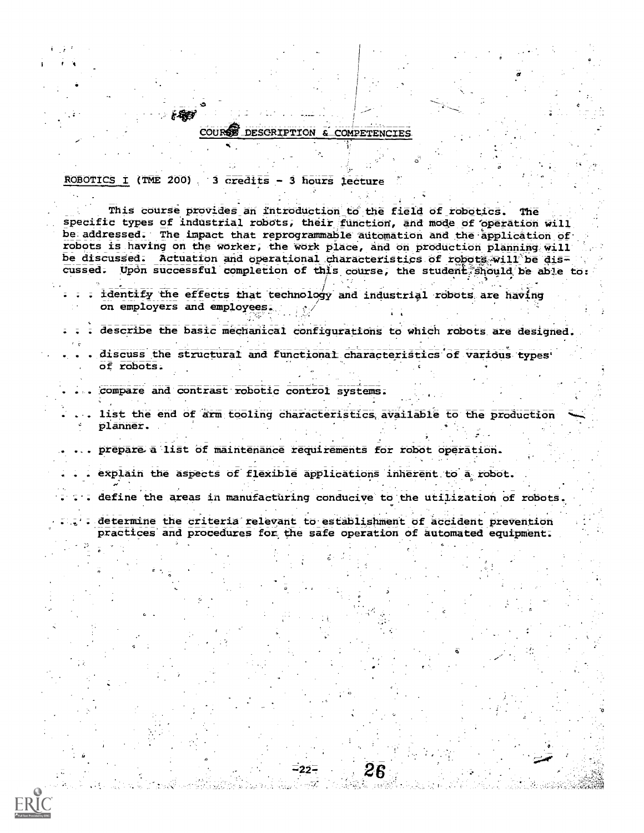#### ROBOTICS I (TME 200) 3 credits - 3 hours lecture

I

This course provides an introduction to the field of robotics. The specific types of industrial robots, their function, and mode of operation will be addressed. The impact that reprogrammable automation and the application of robots is having on the worker, the work place, and on production planning will be discussed. Actuation and operational characteristics of robots will be discussed. Upon successful completion of this course, the student should be able to: identify the effects that technology and industrial robots are having on employers and employees. . , describe the basic mechanical configurations to which rdbots.are designed. discuss the structural and functional characteristics of various types' of robots. . Compare and contrast' robotic control systems. list the end of arm tooling characteristics, available to the production planner. prepare a list of maintenance requirements for robot operation. explain the aspects of flexible applications inherent to a robot. define the areas in manufacturing conducive to the utilization of robots. . determine the criteria relevant to establishment of accident prevention practices'and procedures for, the safe operation of automated equipment;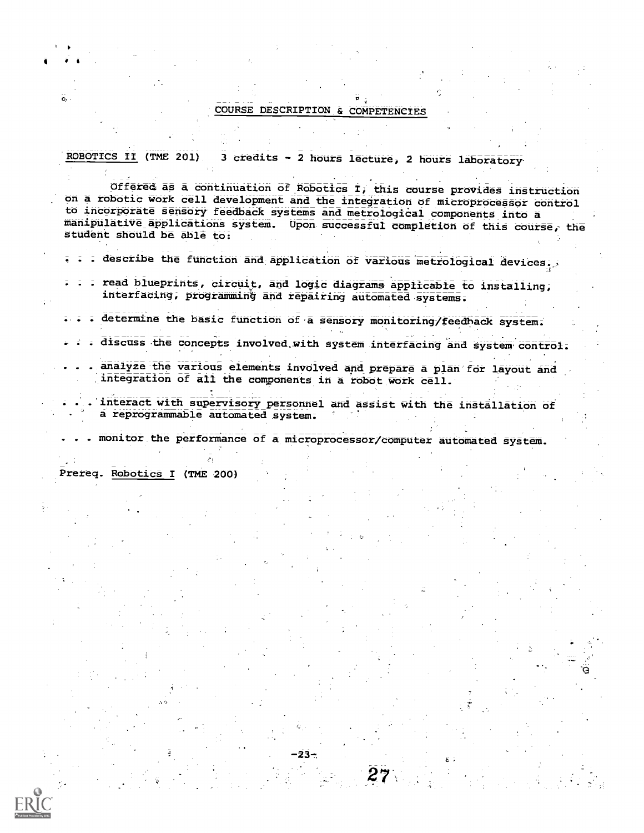ROBOTICS II (TME 201) 3 credits - 2 hours lecture, 2 hours laboratory-

O. O

Offered as a continuation of Robotics I, this course provides instruction on a robotic work cell development and the integration of microprocessor control to incorporate sensory feedback systems and metrological components into a manipulative\_applidations system. Upon. successful completion of this course; the student should be able to:

. describe the function and application of various metrological devices.

. . read blueprints, circuit, and logic diagrams applicable to installing, interfacing, programming and repairing automated systems.

 $\ldots$  . determine the basic function of a sensory monitoring/feedback system.

: . discuss the concepts involved with system interfacing and system control.

- analyze the various elements involved and prepare a plan for layout and integration of all the components in a robot Work cell.
- interact with supervisory personnel and assist with the installation of a reprogrammable automated system.

monitor the performance of a microprocessor/computer automated system.

Prereq. Robotics I (TME 200)

<sup>I</sup> I,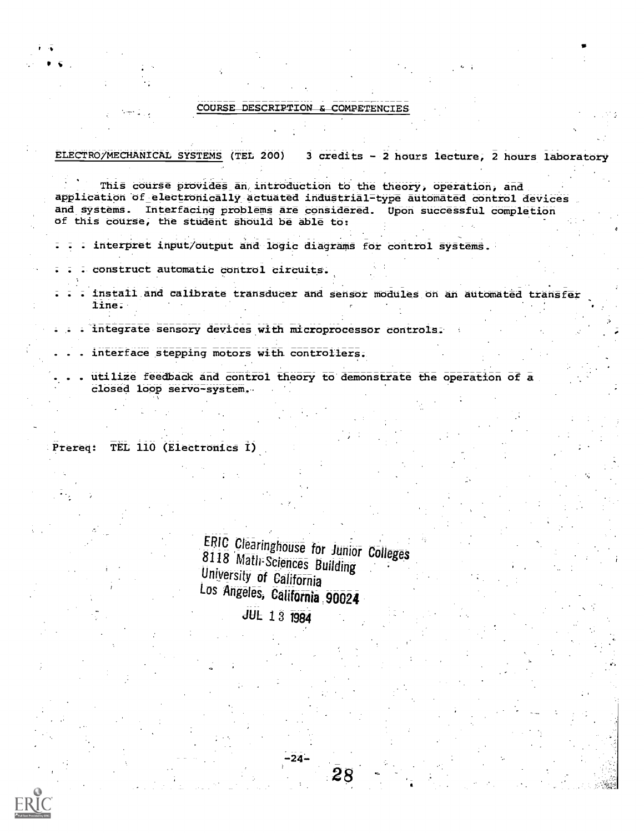# ELECTRO/MECHANICAL SYSTEMS (TEL 200) 3 credits - 2 hours lecture, 2 hours laboratory

This course provides an, introduction to the theory, operation, and application of electronically actuated industrial-type automated control devices and systems. Interfacing problems are considered. Upon successful completion of this course, the student should be able to:

- interpret input/output and logic diagrams for control systems.
- construct automatic control circuits.
	- install.and calibrate transducer and sensor modules on an automated transfer line;
- integrate sensory devices with microprocessor controls.
- . interface stepping motors with controllers;
- utilize feedback and control theory to demonstrate the operation of a closed loop servo-system.

Prereq: TEL 110 (Electronics I)

ERIC Clearinghouse for Junior Colleges<br>8118 Matli-Sciences Building<br>University of California Los Angeles, California <sup>90024</sup>

JUL 1 3 1984

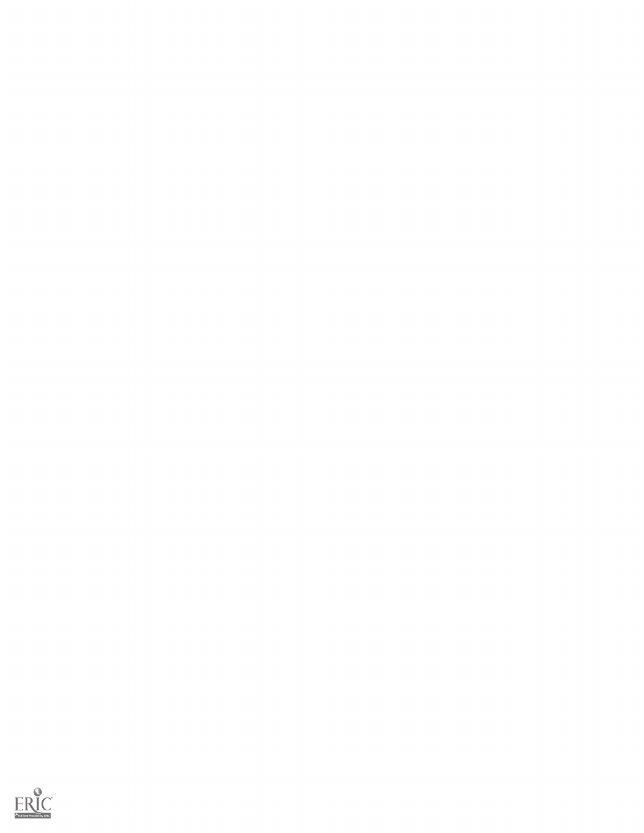